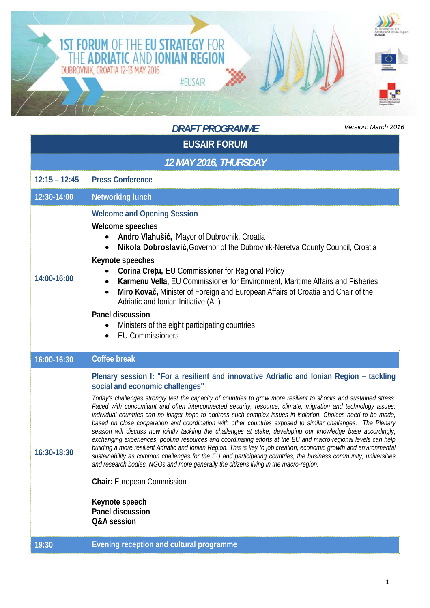

|                       | <b>DRAFT PROGRAMME</b><br>Version: March 201                                                                                                                                                                                                                                                                                                                                                                                                                                                                                                                                                                                                                                                                                                                                                                                                                                                                                                                                                                                                                                                                                                                                                                                                                                |  |  |  |
|-----------------------|-----------------------------------------------------------------------------------------------------------------------------------------------------------------------------------------------------------------------------------------------------------------------------------------------------------------------------------------------------------------------------------------------------------------------------------------------------------------------------------------------------------------------------------------------------------------------------------------------------------------------------------------------------------------------------------------------------------------------------------------------------------------------------------------------------------------------------------------------------------------------------------------------------------------------------------------------------------------------------------------------------------------------------------------------------------------------------------------------------------------------------------------------------------------------------------------------------------------------------------------------------------------------------|--|--|--|
| <b>EUSAIR FORUM</b>   |                                                                                                                                                                                                                                                                                                                                                                                                                                                                                                                                                                                                                                                                                                                                                                                                                                                                                                                                                                                                                                                                                                                                                                                                                                                                             |  |  |  |
| 12 MAY 2016, THURSDAY |                                                                                                                                                                                                                                                                                                                                                                                                                                                                                                                                                                                                                                                                                                                                                                                                                                                                                                                                                                                                                                                                                                                                                                                                                                                                             |  |  |  |
| $12:15 - 12:45$       | <b>Press Conference</b>                                                                                                                                                                                                                                                                                                                                                                                                                                                                                                                                                                                                                                                                                                                                                                                                                                                                                                                                                                                                                                                                                                                                                                                                                                                     |  |  |  |
| 12:30-14:00           | <b>Networking lunch</b>                                                                                                                                                                                                                                                                                                                                                                                                                                                                                                                                                                                                                                                                                                                                                                                                                                                                                                                                                                                                                                                                                                                                                                                                                                                     |  |  |  |
| 14:00-16:00           | <b>Welcome and Opening Session</b><br>Welcome speeches<br>Andro Vlahušić, Mayor of Dubrovnik, Croatia<br>Nikola Dobroslavić, Governor of the Dubrovnik-Neretva County Council, Croatia<br><b>Keynote speeches</b><br>Corina Cretu, EU Commissioner for Regional Policy<br>Karmenu Vella, EU Commissioner for Environment, Maritime Affairs and Fisheries<br>$\bullet$<br>Miro Kovač, Minister of Foreign and European Affairs of Croatia and Chair of the<br>$\bullet$<br>Adriatic and Ionian Initiative (AII)<br><b>Panel discussion</b><br>Ministers of the eight participating countries<br><b>EU Commissioners</b><br>$\bullet$                                                                                                                                                                                                                                                                                                                                                                                                                                                                                                                                                                                                                                         |  |  |  |
| 16:00-16:30           | <b>Coffee break</b>                                                                                                                                                                                                                                                                                                                                                                                                                                                                                                                                                                                                                                                                                                                                                                                                                                                                                                                                                                                                                                                                                                                                                                                                                                                         |  |  |  |
| 16:30-18:30           | Plenary session I: "For a resilient and innovative Adriatic and Ionian Region - tackling<br>social and economic challenges"<br>Today's challenges strongly test the capacity of countries to grow more resilient to shocks and sustained stress.<br>Faced with concomitant and often interconnected security, resource, climate, migration and technology issues,<br>individual countries can no longer hope to address such complex issues in isolation. Choices need to be made,<br>based on close cooperation and coordination with other countries exposed to similar challenges. The Plenary<br>session will discuss how jointly tackling the challenges at stake, developing our knowledge base accordingly,<br>exchanging experiences, pooling resources and coordinating efforts at the EU and macro-regional levels can help<br>building a more resilient Adriatic and Ionian Region. This is key to job creation, economic growth and environmental<br>sustainability as common challenges for the EU and participating countries, the business community, universities<br>and research bodies, NGOs and more generally the citizens living in the macro-region.<br><b>Chair: European Commission</b><br>Keynote speech<br><b>Panel discussion</b><br>Q&A session |  |  |  |
| 19:30                 | <b>Evening reception and cultural programme</b>                                                                                                                                                                                                                                                                                                                                                                                                                                                                                                                                                                                                                                                                                                                                                                                                                                                                                                                                                                                                                                                                                                                                                                                                                             |  |  |  |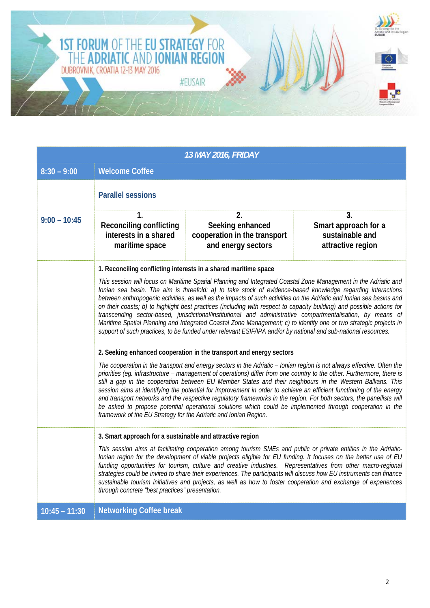

| <b>13 MAY 2016, FRIDAY</b> |                                                                                                                                                                                                                                                                                                                                                                                                                                                                                                                                                                                                                                                                                                                                                                                                                                                                       |                                                                              |                                                                    |  |
|----------------------------|-----------------------------------------------------------------------------------------------------------------------------------------------------------------------------------------------------------------------------------------------------------------------------------------------------------------------------------------------------------------------------------------------------------------------------------------------------------------------------------------------------------------------------------------------------------------------------------------------------------------------------------------------------------------------------------------------------------------------------------------------------------------------------------------------------------------------------------------------------------------------|------------------------------------------------------------------------------|--------------------------------------------------------------------|--|
| $8:30 - 9:00$              | <b>Welcome Coffee</b>                                                                                                                                                                                                                                                                                                                                                                                                                                                                                                                                                                                                                                                                                                                                                                                                                                                 |                                                                              |                                                                    |  |
|                            | <b>Parallel sessions</b>                                                                                                                                                                                                                                                                                                                                                                                                                                                                                                                                                                                                                                                                                                                                                                                                                                              |                                                                              |                                                                    |  |
| $9:00 - 10:45$             | 1.<br><b>Reconciling conflicting</b><br>interests in a shared<br>maritime space                                                                                                                                                                                                                                                                                                                                                                                                                                                                                                                                                                                                                                                                                                                                                                                       | 2.<br>Seeking enhanced<br>cooperation in the transport<br>and energy sectors | 3.<br>Smart approach for a<br>sustainable and<br>attractive region |  |
|                            | 1. Reconciling conflicting interests in a shared maritime space                                                                                                                                                                                                                                                                                                                                                                                                                                                                                                                                                                                                                                                                                                                                                                                                       |                                                                              |                                                                    |  |
|                            | This session will focus on Maritime Spatial Planning and Integrated Coastal Zone Management in the Adriatic and<br>Ionian sea basin. The aim is threefold: a) to take stock of evidence-based knowledge regarding interactions<br>between anthropogenic activities, as well as the impacts of such activities on the Adriatic and Ionian sea basins and<br>on their coasts; b) to highlight best practices (including with respect to capacity building) and possible actions for<br>transcending sector-based, jurisdictional/institutional and administrative compartmentalisation, by means of<br>Maritime Spatial Planning and Integrated Coastal Zone Management; c) to identify one or two strategic projects in<br>support of such practices, to be funded under relevant ESIF/IPA and/or by national and sub-national resources.                              |                                                                              |                                                                    |  |
|                            | 2. Seeking enhanced cooperation in the transport and energy sectors<br>The cooperation in the transport and energy sectors in the Adriatic - Ionian region is not always effective. Often the<br>priorities (eg. infrastructure - management of operations) differ from one country to the other. Furthermore, there is<br>still a gap in the cooperation between EU Member States and their neighbours in the Western Balkans. This<br>session aims at identifying the potential for improvement in order to achieve an efficient functioning of the energy<br>and transport networks and the respective regulatory frameworks in the region. For both sectors, the panellists will<br>be asked to propose potential operational solutions which could be implemented through cooperation in the<br>framework of the EU Strategy for the Adriatic and Ionian Region. |                                                                              |                                                                    |  |
|                            | 3. Smart approach for a sustainable and attractive region<br>This session aims at facilitating cooperation among tourism SMEs and public or private entities in the Adriatic-<br>Ionian region for the development of viable projects eligible for EU funding. It focuses on the better use of EU<br>funding opportunities for tourism, culture and creative industries. Representatives from other macro-regional<br>strategies could be invited to share their experiences. The participants will discuss how EU instruments can finance<br>sustainable tourism initiatives and projects, as well as how to foster cooperation and exchange of experiences<br>through concrete "best practices" presentation.                                                                                                                                                       |                                                                              |                                                                    |  |
| $10:45 - 11:30$            | <b>Networking Coffee break</b>                                                                                                                                                                                                                                                                                                                                                                                                                                                                                                                                                                                                                                                                                                                                                                                                                                        |                                                                              |                                                                    |  |